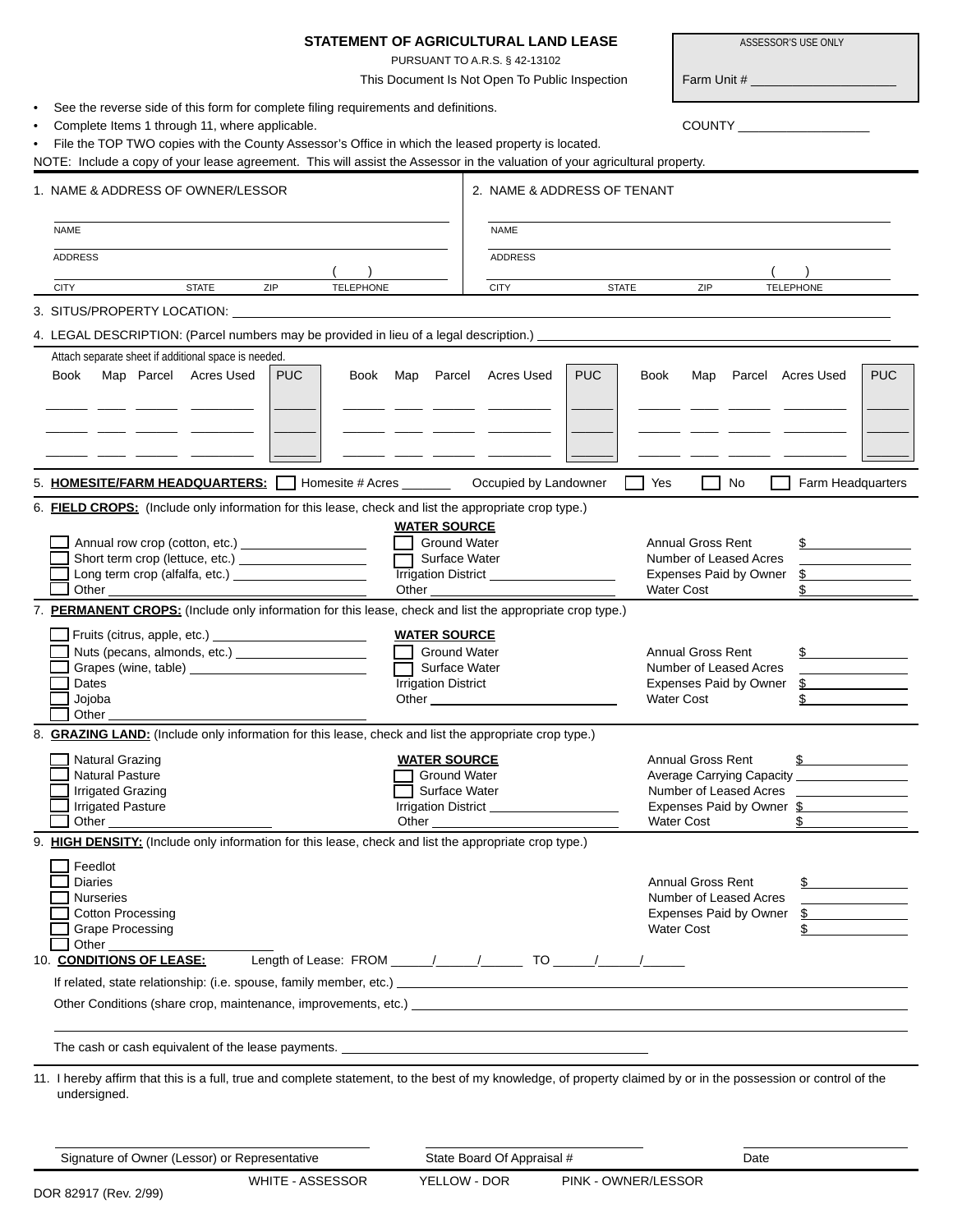| STATEMENT OF AGRICULTURAL LAND LEASE<br>ASSESSOR'S USE ONLY                                                                                                                                                                       |                                                                                                                                                                                               |
|-----------------------------------------------------------------------------------------------------------------------------------------------------------------------------------------------------------------------------------|-----------------------------------------------------------------------------------------------------------------------------------------------------------------------------------------------|
|                                                                                                                                                                                                                                   | PURSUANT TO A.R.S. § 42-13102<br>This Document Is Not Open To Public Inspection                                                                                                               |
| See the reverse side of this form for complete filing requirements and definitions.                                                                                                                                               |                                                                                                                                                                                               |
| Complete Items 1 through 11, where applicable.                                                                                                                                                                                    | COUNTY _____________________                                                                                                                                                                  |
| File the TOP TWO copies with the County Assessor's Office in which the leased property is located.<br>NOTE: Include a copy of your lease agreement. This will assist the Assessor in the valuation of your agricultural property. |                                                                                                                                                                                               |
|                                                                                                                                                                                                                                   |                                                                                                                                                                                               |
| 1. NAME & ADDRESS OF OWNER/LESSOR                                                                                                                                                                                                 | 2. NAME & ADDRESS OF TENANT                                                                                                                                                                   |
| <b>NAME</b>                                                                                                                                                                                                                       | <b>NAME</b>                                                                                                                                                                                   |
| <b>ADDRESS</b>                                                                                                                                                                                                                    | <b>ADDRESS</b>                                                                                                                                                                                |
| <b>STATE</b><br>ZIP<br><b>TELEPHONE</b><br><b>CITY</b>                                                                                                                                                                            | <b>CITY</b><br><b>STATE</b><br>ZIP<br><b>TELEPHONE</b>                                                                                                                                        |
|                                                                                                                                                                                                                                   |                                                                                                                                                                                               |
| 4. LEGAL DESCRIPTION: (Parcel numbers may be provided in lieu of a legal description.)                                                                                                                                            |                                                                                                                                                                                               |
| Attach separate sheet if additional space is needed.                                                                                                                                                                              |                                                                                                                                                                                               |
| Map Parcel Acres Used<br>Book<br><b>PUC</b><br>Book Map Parcel                                                                                                                                                                    | <b>PUC</b><br><b>PUC</b><br>Acres Used<br>Book<br>Map Parcel Acres Used                                                                                                                       |
|                                                                                                                                                                                                                                   |                                                                                                                                                                                               |
|                                                                                                                                                                                                                                   |                                                                                                                                                                                               |
|                                                                                                                                                                                                                                   |                                                                                                                                                                                               |
| 5. <b>HOMESITE/FARM HEADQUARTERS:</b>   Homesite # Acres _________ Occupied by Landowner                                                                                                                                          | Yes<br>No<br>Farm Headquarters                                                                                                                                                                |
| 6. FIELD CROPS: (Include only information for this lease, check and list the appropriate crop type.)                                                                                                                              |                                                                                                                                                                                               |
| <b>WATER SOURCE</b><br><b>Ground Water</b><br>Annual row crop (cotton, etc.) _____________________<br><b>Annual Gross Rent</b><br>$\mathfrak s$                                                                                   |                                                                                                                                                                                               |
| Short term crop (lettuce, etc.) _______________________<br>$\Box$                                                                                                                                                                 | Number of Leased Acres<br>Surface Water                                                                                                                                                       |
|                                                                                                                                                                                                                                   | Trrigation District ___________________<br>Expenses Paid by Owner<br>$\frac{1}{2}$<br><b>Water Cost</b>                                                                                       |
| 7. PERMANENT CROPS: (Include only information for this lease, check and list the appropriate crop type.)                                                                                                                          |                                                                                                                                                                                               |
| $\Box$ Fruits (citrus, apple, etc.) $\Box$<br><b>WATER SOURCE</b>                                                                                                                                                                 |                                                                                                                                                                                               |
| Nuts (pecans, almonds, etc.) _______________________<br>$\mathbb{R}^n$                                                                                                                                                            | <b>Ground Water</b><br><b>Annual Gross Rent</b><br>$\frac{1}{2}$                                                                                                                              |
|                                                                                                                                                                                                                                   | Surface Water<br>Number of Leased Acres                                                                                                                                                       |
| Dates<br><b>Irrigation District</b><br>Jojoba                                                                                                                                                                                     | Expenses Paid by Owner<br>$\mathbb{S}$<br><b>Water Cost</b><br>$\mathbb{S}$<br>Other than the contract of the contract of the contract of the contract of the contract of the contract of the |
| Other                                                                                                                                                                                                                             |                                                                                                                                                                                               |
| 8. <b>GRAZING LAND:</b> (Include only information for this lease, check and list the appropriate crop type.)                                                                                                                      |                                                                                                                                                                                               |
| Natural Grazing<br><b>WATER SOURCE</b>                                                                                                                                                                                            | <b>Annual Gross Rent</b><br>$\frac{1}{2}$                                                                                                                                                     |
| <b>Natural Pasture</b><br><b>Irrigated Grazing</b>                                                                                                                                                                                | Ground Water<br>Average Carrying Capacity <b>Canalism Average Carrying Capacity</b><br>Surface Water<br>Number of Leased Acres                                                                |
| <b>Irrigated Pasture</b>                                                                                                                                                                                                          | Irrigation District _____________________<br>Expenses Paid by Owner \$                                                                                                                        |
|                                                                                                                                                                                                                                   | <b>Water Cost</b><br>\$                                                                                                                                                                       |
| 9. HIGH DENSITY: (Include only information for this lease, check and list the appropriate crop type.)                                                                                                                             |                                                                                                                                                                                               |
| Feedlot<br><b>Diaries</b>                                                                                                                                                                                                         | <b>Annual Gross Rent</b><br>$\frac{1}{2}$                                                                                                                                                     |
| <b>Nurseries</b>                                                                                                                                                                                                                  | Number of Leased Acres                                                                                                                                                                        |
| <b>Cotton Processing</b>                                                                                                                                                                                                          | Expenses Paid by Owner \$                                                                                                                                                                     |
| $\mathbb{S}$<br><b>Grape Processing</b><br><b>Water Cost</b><br>Other                                                                                                                                                             |                                                                                                                                                                                               |
| Length of Lease: FROM ______/ _____/ _______ TO ______/ ______/<br>10. CONDITIONS OF LEASE:                                                                                                                                       |                                                                                                                                                                                               |
|                                                                                                                                                                                                                                   |                                                                                                                                                                                               |
| Other Conditions (share crop, maintenance, improvements, etc.) example and the conditions of the conditions of the conditions of the conditions of the conditions of the conditions of the conditions of the conditions of the    |                                                                                                                                                                                               |
|                                                                                                                                                                                                                                   |                                                                                                                                                                                               |
| 11. I hereby affirm that this is a full, true and complete statement, to the best of my knowledge, of property claimed by or in the possession or control of the                                                                  |                                                                                                                                                                                               |
| undersigned.                                                                                                                                                                                                                      |                                                                                                                                                                                               |
|                                                                                                                                                                                                                                   |                                                                                                                                                                                               |
| Signature of Owner (Lessor) or Representative                                                                                                                                                                                     | State Board Of Appraisal #<br>Date                                                                                                                                                            |